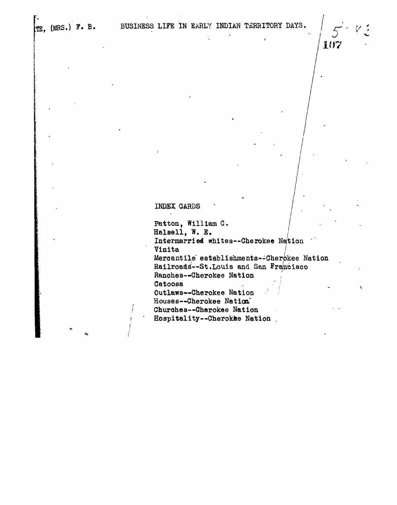107

INDEX CARDS

Patton, William C. Halaell, W. E. Intermarried whites--Cherokee Na'tion ' **Vinita j** Mercantile establishments--Cherokee Nation Railroads--St.Louis and San Francisco Ranches—Cherokee Nation , Catoosa Outlaws—Cherokee Nation Houses--Cherokee Nation Churohes—Cherokee Nation Hospitality—Cherokhe Nation .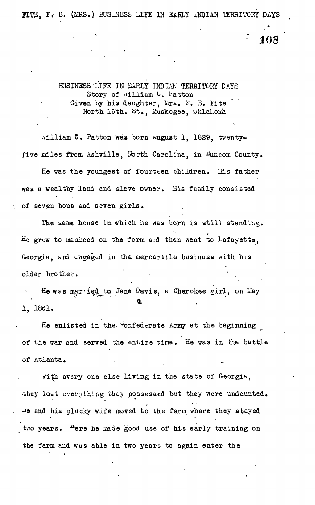FITE, F« B. (MRS.) BUS-NESS LIFE IN EARLY INDIAN TERRITORY DAYS

JOS

:

BUSINESS 'LIFE IN EARLY INDIAN TERRITORY DAYS Story of "illiam C. Patton Given by his daughter, Mrs. F. B. Fite North 16th. St., Muskogee, Oklahoma

silliam C. Patton was born August 1, 1829, twentyfive miles from Ashville, North Carolina, in Duncom County.

He was the youngest of fourteen children. His father was a wealthy land and slave owner. His family consisted of .seven bous and seven girls.

The same house in which he was born is still standing. He grew to manhood on the farm ard then went to Lafayette, Georgia, and engaged in the mercantile business with his older brother.

He was married to Jane Davis, a Cherokee girl, on May 1, 1861.

He enlisted in the Confederate Army at the beginning of the war and served the entire time. He was in the battle of atlanta.

*th* every one else living in the state of Georgia, •they lo&t.everything they possessed but they were undaunted, he and his plucky wife moved to the farm where they stayed two years. "ere he made good use of his early training on the farm and was able in two years to again enter the.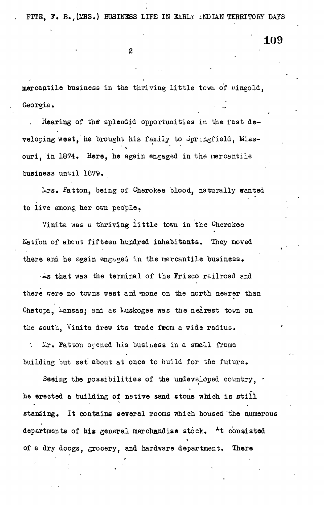FITE, F. B., (MRS.) BUSINESS LIFE IN EARLY INDIAN TERRITORY DAYS

109

mercantile business in the thriving little town of Mingold, Georgia.

Hearing of the splendid opportunities in the fast developing west, he brought his family to Springfield, Missouri, in 1874. Here, he again engaged in the mercantile business until 1879.

krs» Patton, being of Cherokee blood, naturally wanted to live among her own people.

Vinita was a thriving little town in the Cherokee Nation of about fifteen hundred inhabitants. They moved there and he again engaged in the mercantile business,

-As that was the terminal of the Frisco railroad and there were no towns west and mone on the north nearer than Chetopa, Lansas; and as Luskogee was the nearest town on the south. Vinita drew its trade from a wide radius.

Lr. Patton opened his business in a small frame  $\mathcal{F}_{\mathbf{c}}$ building but set about at once to build for the future.

Seeing the possibilities of the undeveloped country, he erected a building of natiye sand stone which is still standing. It contains several rooms which housed 'the numerous departments of his general merchandise stock.  $\pm t$  consisted of a dry doogs, grocery, and hardware department. There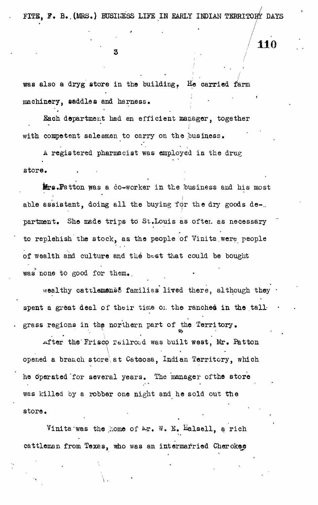FITE, F. B. (MRS.) BUSINESS LIFE IN EARLY INDIAN TERRITORY DAYS

3

was also a dryg store in the building, H<sub>e</sub> carried farm machinery, saddles and harness, '

Each department had en efficient manager, together with competent salesmen to carry on the business.

A registered pharmacist was employed in the drug store.

**Hers.Patton was a co-worker in the business and his most** able assistant, doing all the buying for the dry goods de-.. partment. She made trips to St.Louis as often as necessary to replehish the stock, as the people of Vinita were people of wealth and culture and the best that could be bought was none to good for them.

wealthy cattlemens& families lived there, although they spent a great deal of their time on the ranches in the tallgrass regions in the northern part of the Territory,

after the Frisco railrood was built west, Mr. Patton opened a branch store at Catoosa, Indian Territory, which he operated for several years. The manager of the store was killed by a robber one night and he sold out the store.

Vinita'was the home of  $\mathbb{A}r$ . W. E. Balsell, a rich cattleman from Texas, who was an intermarried Cherokee

**110**